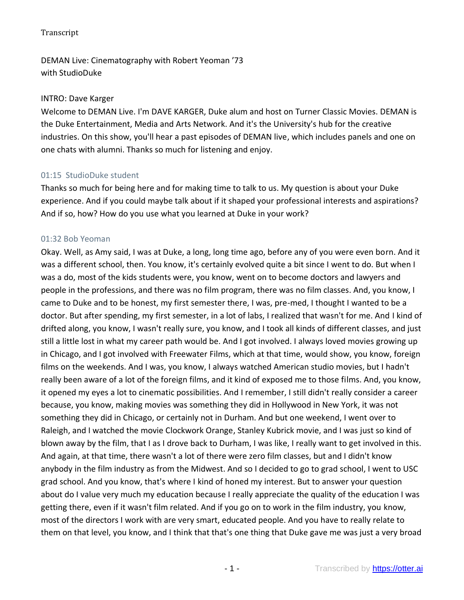DEMAN Live: Cinematography with Robert Yeoman '73 with StudioDuke

#### INTRO: Dave Karger

Welcome to DEMAN Live. I'm DAVE KARGER, Duke alum and host on Turner Classic Movies. DEMAN is the Duke Entertainment, Media and Arts Network. And it's the University's hub for the creative industries. On this show, you'll hear a past episodes of DEMAN live, which includes panels and one on one chats with alumni. Thanks so much for listening and enjoy.

#### 01:15 StudioDuke student

Thanks so much for being here and for making time to talk to us. My question is about your Duke experience. And if you could maybe talk about if it shaped your professional interests and aspirations? And if so, how? How do you use what you learned at Duke in your work?

#### 01:32 Bob Yeoman

Okay. Well, as Amy said, I was at Duke, a long, long time ago, before any of you were even born. And it was a different school, then. You know, it's certainly evolved quite a bit since I went to do. But when I was a do, most of the kids students were, you know, went on to become doctors and lawyers and people in the professions, and there was no film program, there was no film classes. And, you know, I came to Duke and to be honest, my first semester there, I was, pre-med, I thought I wanted to be a doctor. But after spending, my first semester, in a lot of labs, I realized that wasn't for me. And I kind of drifted along, you know, I wasn't really sure, you know, and I took all kinds of different classes, and just still a little lost in what my career path would be. And I got involved. I always loved movies growing up in Chicago, and I got involved with Freewater Films, which at that time, would show, you know, foreign films on the weekends. And I was, you know, I always watched American studio movies, but I hadn't really been aware of a lot of the foreign films, and it kind of exposed me to those films. And, you know, it opened my eyes a lot to cinematic possibilities. And I remember, I still didn't really consider a career because, you know, making movies was something they did in Hollywood in New York, it was not something they did in Chicago, or certainly not in Durham. And but one weekend, I went over to Raleigh, and I watched the movie Clockwork Orange, Stanley Kubrick movie, and I was just so kind of blown away by the film, that I as I drove back to Durham, I was like, I really want to get involved in this. And again, at that time, there wasn't a lot of there were zero film classes, but and I didn't know anybody in the film industry as from the Midwest. And so I decided to go to grad school, I went to USC grad school. And you know, that's where I kind of honed my interest. But to answer your question about do I value very much my education because I really appreciate the quality of the education I was getting there, even if it wasn't film related. And if you go on to work in the film industry, you know, most of the directors I work with are very smart, educated people. And you have to really relate to them on that level, you know, and I think that that's one thing that Duke gave me was just a very broad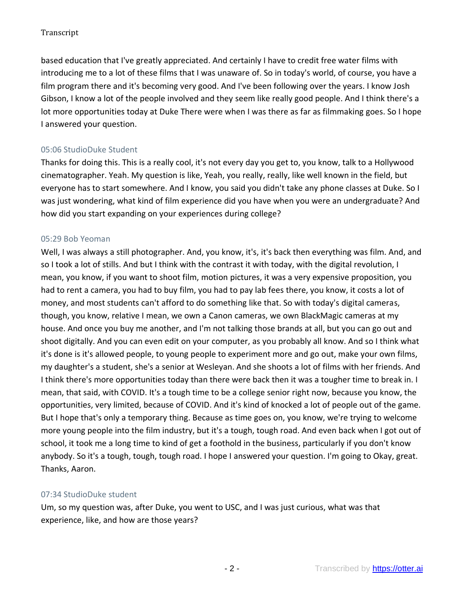based education that I've greatly appreciated. And certainly I have to credit free water films with introducing me to a lot of these films that I was unaware of. So in today's world, of course, you have a film program there and it's becoming very good. And I've been following over the years. I know Josh Gibson, I know a lot of the people involved and they seem like really good people. And I think there's a lot more opportunities today at Duke There were when I was there as far as filmmaking goes. So I hope I answered your question.

# 05:06 StudioDuke Student

Thanks for doing this. This is a really cool, it's not every day you get to, you know, talk to a Hollywood cinematographer. Yeah. My question is like, Yeah, you really, really, like well known in the field, but everyone has to start somewhere. And I know, you said you didn't take any phone classes at Duke. So I was just wondering, what kind of film experience did you have when you were an undergraduate? And how did you start expanding on your experiences during college?

#### 05:29 Bob Yeoman

Well, I was always a still photographer. And, you know, it's, it's back then everything was film. And, and so I took a lot of stills. And but I think with the contrast it with today, with the digital revolution, I mean, you know, if you want to shoot film, motion pictures, it was a very expensive proposition, you had to rent a camera, you had to buy film, you had to pay lab fees there, you know, it costs a lot of money, and most students can't afford to do something like that. So with today's digital cameras, though, you know, relative I mean, we own a Canon cameras, we own BlackMagic cameras at my house. And once you buy me another, and I'm not talking those brands at all, but you can go out and shoot digitally. And you can even edit on your computer, as you probably all know. And so I think what it's done is it's allowed people, to young people to experiment more and go out, make your own films, my daughter's a student, she's a senior at Wesleyan. And she shoots a lot of films with her friends. And I think there's more opportunities today than there were back then it was a tougher time to break in. I mean, that said, with COVID. It's a tough time to be a college senior right now, because you know, the opportunities, very limited, because of COVID. And it's kind of knocked a lot of people out of the game. But I hope that's only a temporary thing. Because as time goes on, you know, we're trying to welcome more young people into the film industry, but it's a tough, tough road. And even back when I got out of school, it took me a long time to kind of get a foothold in the business, particularly if you don't know anybody. So it's a tough, tough, tough road. I hope I answered your question. I'm going to Okay, great. Thanks, Aaron.

#### 07:34 StudioDuke student

Um, so my question was, after Duke, you went to USC, and I was just curious, what was that experience, like, and how are those years?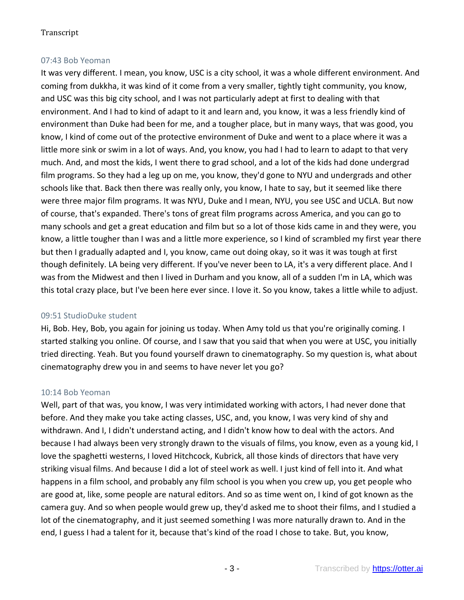# 07:43 Bob Yeoman

It was very different. I mean, you know, USC is a city school, it was a whole different environment. And coming from dukkha, it was kind of it come from a very smaller, tightly tight community, you know, and USC was this big city school, and I was not particularly adept at first to dealing with that environment. And I had to kind of adapt to it and learn and, you know, it was a less friendly kind of environment than Duke had been for me, and a tougher place, but in many ways, that was good, you know, I kind of come out of the protective environment of Duke and went to a place where it was a little more sink or swim in a lot of ways. And, you know, you had I had to learn to adapt to that very much. And, and most the kids, I went there to grad school, and a lot of the kids had done undergrad film programs. So they had a leg up on me, you know, they'd gone to NYU and undergrads and other schools like that. Back then there was really only, you know, I hate to say, but it seemed like there were three major film programs. It was NYU, Duke and I mean, NYU, you see USC and UCLA. But now of course, that's expanded. There's tons of great film programs across America, and you can go to many schools and get a great education and film but so a lot of those kids came in and they were, you know, a little tougher than I was and a little more experience, so I kind of scrambled my first year there but then I gradually adapted and I, you know, came out doing okay, so it was it was tough at first though definitely. LA being very different. If you've never been to LA, it's a very different place. And I was from the Midwest and then I lived in Durham and you know, all of a sudden I'm in LA, which was this total crazy place, but I've been here ever since. I love it. So you know, takes a little while to adjust.

#### 09:51 StudioDuke student

Hi, Bob. Hey, Bob, you again for joining us today. When Amy told us that you're originally coming. I started stalking you online. Of course, and I saw that you said that when you were at USC, you initially tried directing. Yeah. But you found yourself drawn to cinematography. So my question is, what about cinematography drew you in and seems to have never let you go?

#### 10:14 Bob Yeoman

Well, part of that was, you know, I was very intimidated working with actors, I had never done that before. And they make you take acting classes, USC, and, you know, I was very kind of shy and withdrawn. And I, I didn't understand acting, and I didn't know how to deal with the actors. And because I had always been very strongly drawn to the visuals of films, you know, even as a young kid, I love the spaghetti westerns, I loved Hitchcock, Kubrick, all those kinds of directors that have very striking visual films. And because I did a lot of steel work as well. I just kind of fell into it. And what happens in a film school, and probably any film school is you when you crew up, you get people who are good at, like, some people are natural editors. And so as time went on, I kind of got known as the camera guy. And so when people would grew up, they'd asked me to shoot their films, and I studied a lot of the cinematography, and it just seemed something I was more naturally drawn to. And in the end, I guess I had a talent for it, because that's kind of the road I chose to take. But, you know,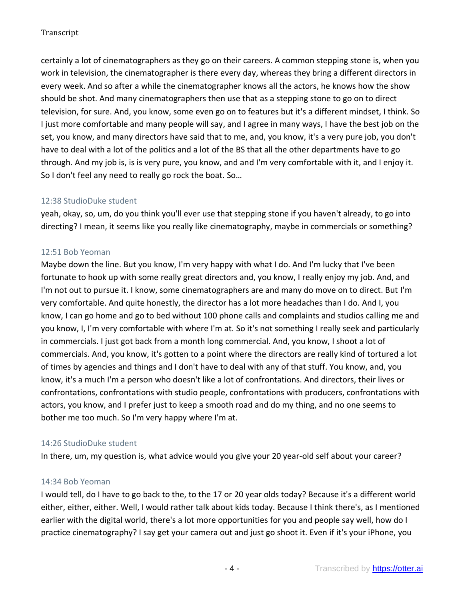certainly a lot of cinematographers as they go on their careers. A common stepping stone is, when you work in television, the cinematographer is there every day, whereas they bring a different directors in every week. And so after a while the cinematographer knows all the actors, he knows how the show should be shot. And many cinematographers then use that as a stepping stone to go on to direct television, for sure. And, you know, some even go on to features but it's a different mindset, I think. So I just more comfortable and many people will say, and I agree in many ways, I have the best job on the set, you know, and many directors have said that to me, and, you know, it's a very pure job, you don't have to deal with a lot of the politics and a lot of the BS that all the other departments have to go through. And my job is, is is very pure, you know, and and I'm very comfortable with it, and I enjoy it. So I don't feel any need to really go rock the boat. So…

## 12:38 StudioDuke student

yeah, okay, so, um, do you think you'll ever use that stepping stone if you haven't already, to go into directing? I mean, it seems like you really like cinematography, maybe in commercials or something?

# 12:51 Bob Yeoman

Maybe down the line. But you know, I'm very happy with what I do. And I'm lucky that I've been fortunate to hook up with some really great directors and, you know, I really enjoy my job. And, and I'm not out to pursue it. I know, some cinematographers are and many do move on to direct. But I'm very comfortable. And quite honestly, the director has a lot more headaches than I do. And I, you know, I can go home and go to bed without 100 phone calls and complaints and studios calling me and you know, I, I'm very comfortable with where I'm at. So it's not something I really seek and particularly in commercials. I just got back from a month long commercial. And, you know, I shoot a lot of commercials. And, you know, it's gotten to a point where the directors are really kind of tortured a lot of times by agencies and things and I don't have to deal with any of that stuff. You know, and, you know, it's a much I'm a person who doesn't like a lot of confrontations. And directors, their lives or confrontations, confrontations with studio people, confrontations with producers, confrontations with actors, you know, and I prefer just to keep a smooth road and do my thing, and no one seems to bother me too much. So I'm very happy where I'm at.

#### 14:26 StudioDuke student

In there, um, my question is, what advice would you give your 20 year-old self about your career?

#### 14:34 Bob Yeoman

I would tell, do I have to go back to the, to the 17 or 20 year olds today? Because it's a different world either, either, either. Well, I would rather talk about kids today. Because I think there's, as I mentioned earlier with the digital world, there's a lot more opportunities for you and people say well, how do I practice cinematography? I say get your camera out and just go shoot it. Even if it's your iPhone, you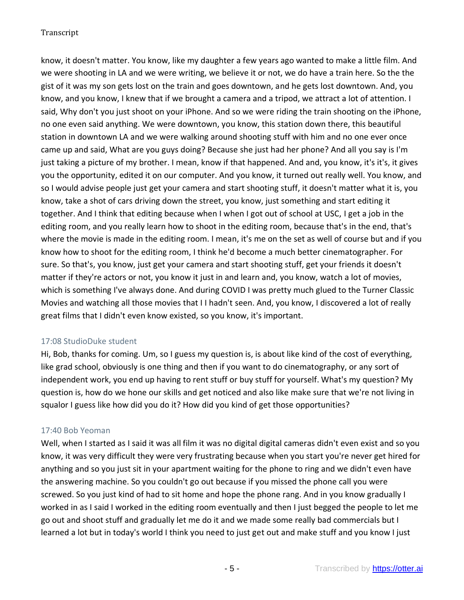know, it doesn't matter. You know, like my daughter a few years ago wanted to make a little film. And we were shooting in LA and we were writing, we believe it or not, we do have a train here. So the the gist of it was my son gets lost on the train and goes downtown, and he gets lost downtown. And, you know, and you know, I knew that if we brought a camera and a tripod, we attract a lot of attention. I said, Why don't you just shoot on your iPhone. And so we were riding the train shooting on the iPhone, no one even said anything. We were downtown, you know, this station down there, this beautiful station in downtown LA and we were walking around shooting stuff with him and no one ever once came up and said, What are you guys doing? Because she just had her phone? And all you say is I'm just taking a picture of my brother. I mean, know if that happened. And and, you know, it's it's, it gives you the opportunity, edited it on our computer. And you know, it turned out really well. You know, and so I would advise people just get your camera and start shooting stuff, it doesn't matter what it is, you know, take a shot of cars driving down the street, you know, just something and start editing it together. And I think that editing because when I when I got out of school at USC, I get a job in the editing room, and you really learn how to shoot in the editing room, because that's in the end, that's where the movie is made in the editing room. I mean, it's me on the set as well of course but and if you know how to shoot for the editing room, I think he'd become a much better cinematographer. For sure. So that's, you know, just get your camera and start shooting stuff, get your friends it doesn't matter if they're actors or not, you know it just in and learn and, you know, watch a lot of movies, which is something I've always done. And during COVID I was pretty much glued to the Turner Classic Movies and watching all those movies that I I hadn't seen. And, you know, I discovered a lot of really great films that I didn't even know existed, so you know, it's important.

# 17:08 StudioDuke student

Hi, Bob, thanks for coming. Um, so I guess my question is, is about like kind of the cost of everything, like grad school, obviously is one thing and then if you want to do cinematography, or any sort of independent work, you end up having to rent stuff or buy stuff for yourself. What's my question? My question is, how do we hone our skills and get noticed and also like make sure that we're not living in squalor I guess like how did you do it? How did you kind of get those opportunities?

# 17:40 Bob Yeoman

Well, when I started as I said it was all film it was no digital digital cameras didn't even exist and so you know, it was very difficult they were very frustrating because when you start you're never get hired for anything and so you just sit in your apartment waiting for the phone to ring and we didn't even have the answering machine. So you couldn't go out because if you missed the phone call you were screwed. So you just kind of had to sit home and hope the phone rang. And in you know gradually I worked in as I said I worked in the editing room eventually and then I just begged the people to let me go out and shoot stuff and gradually let me do it and we made some really bad commercials but I learned a lot but in today's world I think you need to just get out and make stuff and you know I just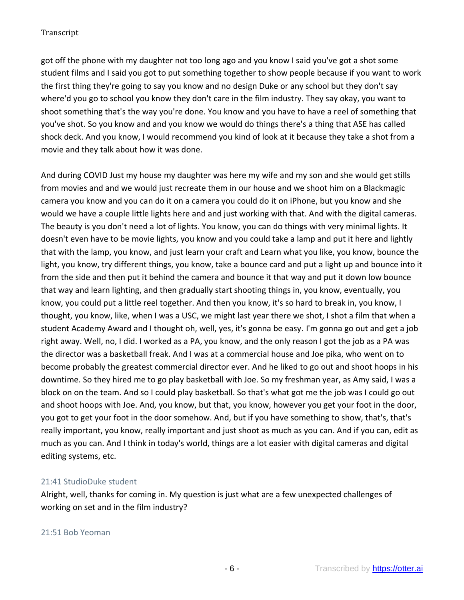got off the phone with my daughter not too long ago and you know I said you've got a shot some student films and I said you got to put something together to show people because if you want to work the first thing they're going to say you know and no design Duke or any school but they don't say where'd you go to school you know they don't care in the film industry. They say okay, you want to shoot something that's the way you're done. You know and you have to have a reel of something that you've shot. So you know and and you know we would do things there's a thing that ASE has called shock deck. And you know, I would recommend you kind of look at it because they take a shot from a movie and they talk about how it was done.

And during COVID Just my house my daughter was here my wife and my son and she would get stills from movies and and we would just recreate them in our house and we shoot him on a Blackmagic camera you know and you can do it on a camera you could do it on iPhone, but you know and she would we have a couple little lights here and and just working with that. And with the digital cameras. The beauty is you don't need a lot of lights. You know, you can do things with very minimal lights. It doesn't even have to be movie lights, you know and you could take a lamp and put it here and lightly that with the lamp, you know, and just learn your craft and Learn what you like, you know, bounce the light, you know, try different things, you know, take a bounce card and put a light up and bounce into it from the side and then put it behind the camera and bounce it that way and put it down low bounce that way and learn lighting, and then gradually start shooting things in, you know, eventually, you know, you could put a little reel together. And then you know, it's so hard to break in, you know, I thought, you know, like, when I was a USC, we might last year there we shot, I shot a film that when a student Academy Award and I thought oh, well, yes, it's gonna be easy. I'm gonna go out and get a job right away. Well, no, I did. I worked as a PA, you know, and the only reason I got the job as a PA was the director was a basketball freak. And I was at a commercial house and Joe pika, who went on to become probably the greatest commercial director ever. And he liked to go out and shoot hoops in his downtime. So they hired me to go play basketball with Joe. So my freshman year, as Amy said, I was a block on on the team. And so I could play basketball. So that's what got me the job was I could go out and shoot hoops with Joe. And, you know, but that, you know, however you get your foot in the door, you got to get your foot in the door somehow. And, but if you have something to show, that's, that's really important, you know, really important and just shoot as much as you can. And if you can, edit as much as you can. And I think in today's world, things are a lot easier with digital cameras and digital editing systems, etc.

# 21:41 StudioDuke student

Alright, well, thanks for coming in. My question is just what are a few unexpected challenges of working on set and in the film industry?

#### 21:51 Bob Yeoman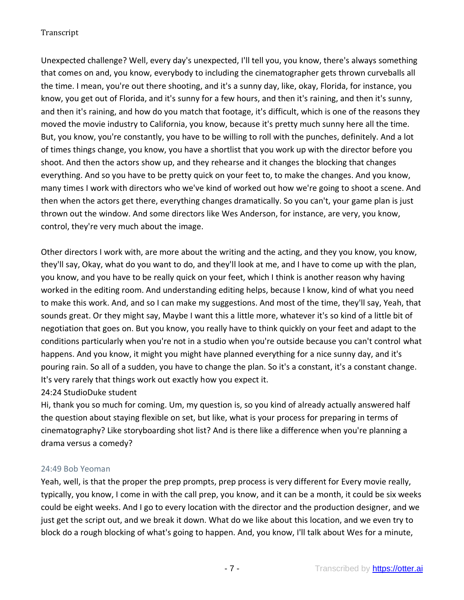Unexpected challenge? Well, every day's unexpected, I'll tell you, you know, there's always something that comes on and, you know, everybody to including the cinematographer gets thrown curveballs all the time. I mean, you're out there shooting, and it's a sunny day, like, okay, Florida, for instance, you know, you get out of Florida, and it's sunny for a few hours, and then it's raining, and then it's sunny, and then it's raining, and how do you match that footage, it's difficult, which is one of the reasons they moved the movie industry to California, you know, because it's pretty much sunny here all the time. But, you know, you're constantly, you have to be willing to roll with the punches, definitely. And a lot of times things change, you know, you have a shortlist that you work up with the director before you shoot. And then the actors show up, and they rehearse and it changes the blocking that changes everything. And so you have to be pretty quick on your feet to, to make the changes. And you know, many times I work with directors who we've kind of worked out how we're going to shoot a scene. And then when the actors get there, everything changes dramatically. So you can't, your game plan is just thrown out the window. And some directors like Wes Anderson, for instance, are very, you know, control, they're very much about the image.

Other directors I work with, are more about the writing and the acting, and they you know, you know, they'll say, Okay, what do you want to do, and they'll look at me, and I have to come up with the plan, you know, and you have to be really quick on your feet, which I think is another reason why having worked in the editing room. And understanding editing helps, because I know, kind of what you need to make this work. And, and so I can make my suggestions. And most of the time, they'll say, Yeah, that sounds great. Or they might say, Maybe I want this a little more, whatever it's so kind of a little bit of negotiation that goes on. But you know, you really have to think quickly on your feet and adapt to the conditions particularly when you're not in a studio when you're outside because you can't control what happens. And you know, it might you might have planned everything for a nice sunny day, and it's pouring rain. So all of a sudden, you have to change the plan. So it's a constant, it's a constant change. It's very rarely that things work out exactly how you expect it.

# 24:24 StudioDuke student

Hi, thank you so much for coming. Um, my question is, so you kind of already actually answered half the question about staying flexible on set, but like, what is your process for preparing in terms of cinematography? Like storyboarding shot list? And is there like a difference when you're planning a drama versus a comedy?

#### 24:49 Bob Yeoman

Yeah, well, is that the proper the prep prompts, prep process is very different for Every movie really, typically, you know, I come in with the call prep, you know, and it can be a month, it could be six weeks could be eight weeks. And I go to every location with the director and the production designer, and we just get the script out, and we break it down. What do we like about this location, and we even try to block do a rough blocking of what's going to happen. And, you know, I'll talk about Wes for a minute,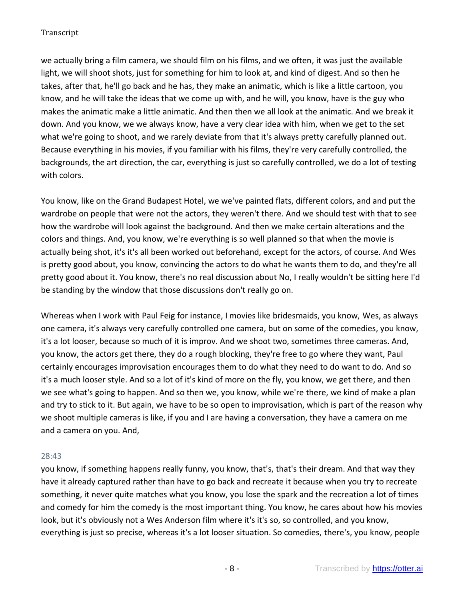we actually bring a film camera, we should film on his films, and we often, it was just the available light, we will shoot shots, just for something for him to look at, and kind of digest. And so then he takes, after that, he'll go back and he has, they make an animatic, which is like a little cartoon, you know, and he will take the ideas that we come up with, and he will, you know, have is the guy who makes the animatic make a little animatic. And then then we all look at the animatic. And we break it down. And you know, we we always know, have a very clear idea with him, when we get to the set what we're going to shoot, and we rarely deviate from that it's always pretty carefully planned out. Because everything in his movies, if you familiar with his films, they're very carefully controlled, the backgrounds, the art direction, the car, everything is just so carefully controlled, we do a lot of testing with colors.

You know, like on the Grand Budapest Hotel, we we've painted flats, different colors, and and put the wardrobe on people that were not the actors, they weren't there. And we should test with that to see how the wardrobe will look against the background. And then we make certain alterations and the colors and things. And, you know, we're everything is so well planned so that when the movie is actually being shot, it's it's all been worked out beforehand, except for the actors, of course. And Wes is pretty good about, you know, convincing the actors to do what he wants them to do, and they're all pretty good about it. You know, there's no real discussion about No, I really wouldn't be sitting here I'd be standing by the window that those discussions don't really go on.

Whereas when I work with Paul Feig for instance, I movies like bridesmaids, you know, Wes, as always one camera, it's always very carefully controlled one camera, but on some of the comedies, you know, it's a lot looser, because so much of it is improv. And we shoot two, sometimes three cameras. And, you know, the actors get there, they do a rough blocking, they're free to go where they want, Paul certainly encourages improvisation encourages them to do what they need to do want to do. And so it's a much looser style. And so a lot of it's kind of more on the fly, you know, we get there, and then we see what's going to happen. And so then we, you know, while we're there, we kind of make a plan and try to stick to it. But again, we have to be so open to improvisation, which is part of the reason why we shoot multiple cameras is like, if you and I are having a conversation, they have a camera on me and a camera on you. And,

#### 28:43

you know, if something happens really funny, you know, that's, that's their dream. And that way they have it already captured rather than have to go back and recreate it because when you try to recreate something, it never quite matches what you know, you lose the spark and the recreation a lot of times and comedy for him the comedy is the most important thing. You know, he cares about how his movies look, but it's obviously not a Wes Anderson film where it's it's so, so controlled, and you know, everything is just so precise, whereas it's a lot looser situation. So comedies, there's, you know, people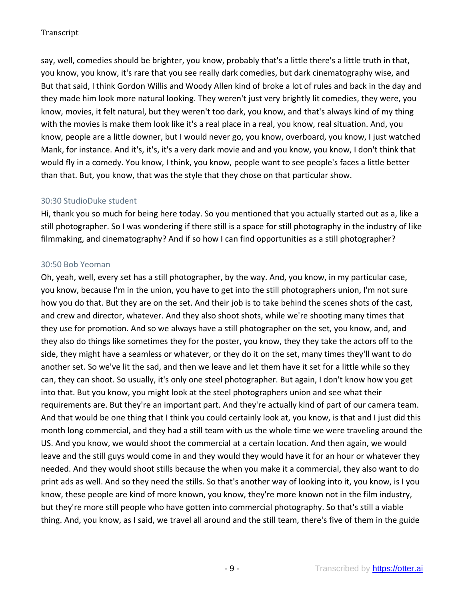say, well, comedies should be brighter, you know, probably that's a little there's a little truth in that, you know, you know, it's rare that you see really dark comedies, but dark cinematography wise, and But that said, I think Gordon Willis and Woody Allen kind of broke a lot of rules and back in the day and they made him look more natural looking. They weren't just very brightly lit comedies, they were, you know, movies, it felt natural, but they weren't too dark, you know, and that's always kind of my thing with the movies is make them look like it's a real place in a real, you know, real situation. And, you know, people are a little downer, but I would never go, you know, overboard, you know, I just watched Mank, for instance. And it's, it's, it's a very dark movie and and you know, you know, I don't think that would fly in a comedy. You know, I think, you know, people want to see people's faces a little better than that. But, you know, that was the style that they chose on that particular show.

## 30:30 StudioDuke student

Hi, thank you so much for being here today. So you mentioned that you actually started out as a, like a still photographer. So I was wondering if there still is a space for still photography in the industry of like filmmaking, and cinematography? And if so how I can find opportunities as a still photographer?

## 30:50 Bob Yeoman

Oh, yeah, well, every set has a still photographer, by the way. And, you know, in my particular case, you know, because I'm in the union, you have to get into the still photographers union, I'm not sure how you do that. But they are on the set. And their job is to take behind the scenes shots of the cast, and crew and director, whatever. And they also shoot shots, while we're shooting many times that they use for promotion. And so we always have a still photographer on the set, you know, and, and they also do things like sometimes they for the poster, you know, they they take the actors off to the side, they might have a seamless or whatever, or they do it on the set, many times they'll want to do another set. So we've lit the sad, and then we leave and let them have it set for a little while so they can, they can shoot. So usually, it's only one steel photographer. But again, I don't know how you get into that. But you know, you might look at the steel photographers union and see what their requirements are. But they're an important part. And they're actually kind of part of our camera team. And that would be one thing that I think you could certainly look at, you know, is that and I just did this month long commercial, and they had a still team with us the whole time we were traveling around the US. And you know, we would shoot the commercial at a certain location. And then again, we would leave and the still guys would come in and they would they would have it for an hour or whatever they needed. And they would shoot stills because the when you make it a commercial, they also want to do print ads as well. And so they need the stills. So that's another way of looking into it, you know, is I you know, these people are kind of more known, you know, they're more known not in the film industry, but they're more still people who have gotten into commercial photography. So that's still a viable thing. And, you know, as I said, we travel all around and the still team, there's five of them in the guide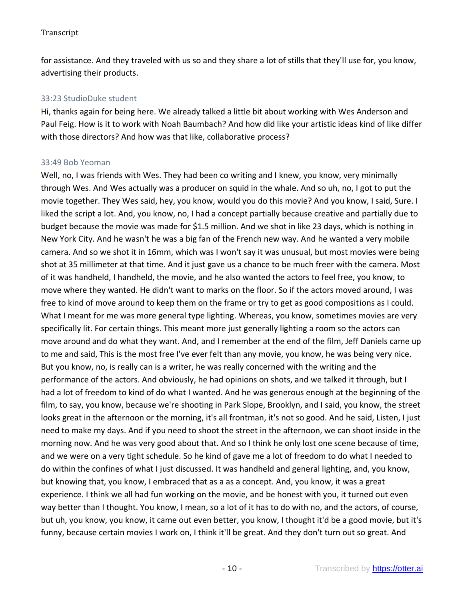for assistance. And they traveled with us so and they share a lot of stills that they'll use for, you know, advertising their products.

### 33:23 StudioDuke student

Hi, thanks again for being here. We already talked a little bit about working with Wes Anderson and Paul Feig. How is it to work with Noah Baumbach? And how did like your artistic ideas kind of like differ with those directors? And how was that like, collaborative process?

## 33:49 Bob Yeoman

Well, no, I was friends with Wes. They had been co writing and I knew, you know, very minimally through Wes. And Wes actually was a producer on squid in the whale. And so uh, no, I got to put the movie together. They Wes said, hey, you know, would you do this movie? And you know, I said, Sure. I liked the script a lot. And, you know, no, I had a concept partially because creative and partially due to budget because the movie was made for \$1.5 million. And we shot in like 23 days, which is nothing in New York City. And he wasn't he was a big fan of the French new way. And he wanted a very mobile camera. And so we shot it in 16mm, which was I won't say it was unusual, but most movies were being shot at 35 millimeter at that time. And it just gave us a chance to be much freer with the camera. Most of it was handheld, I handheld, the movie, and he also wanted the actors to feel free, you know, to move where they wanted. He didn't want to marks on the floor. So if the actors moved around, I was free to kind of move around to keep them on the frame or try to get as good compositions as I could. What I meant for me was more general type lighting. Whereas, you know, sometimes movies are very specifically lit. For certain things. This meant more just generally lighting a room so the actors can move around and do what they want. And, and I remember at the end of the film, Jeff Daniels came up to me and said, This is the most free I've ever felt than any movie, you know, he was being very nice. But you know, no, is really can is a writer, he was really concerned with the writing and the performance of the actors. And obviously, he had opinions on shots, and we talked it through, but I had a lot of freedom to kind of do what I wanted. And he was generous enough at the beginning of the film, to say, you know, because we're shooting in Park Slope, Brooklyn, and I said, you know, the street looks great in the afternoon or the morning, it's all frontman, it's not so good. And he said, Listen, I just need to make my days. And if you need to shoot the street in the afternoon, we can shoot inside in the morning now. And he was very good about that. And so I think he only lost one scene because of time, and we were on a very tight schedule. So he kind of gave me a lot of freedom to do what I needed to do within the confines of what I just discussed. It was handheld and general lighting, and, you know, but knowing that, you know, I embraced that as a as a concept. And, you know, it was a great experience. I think we all had fun working on the movie, and be honest with you, it turned out even way better than I thought. You know, I mean, so a lot of it has to do with no, and the actors, of course, but uh, you know, you know, it came out even better, you know, I thought it'd be a good movie, but it's funny, because certain movies I work on, I think it'll be great. And they don't turn out so great. And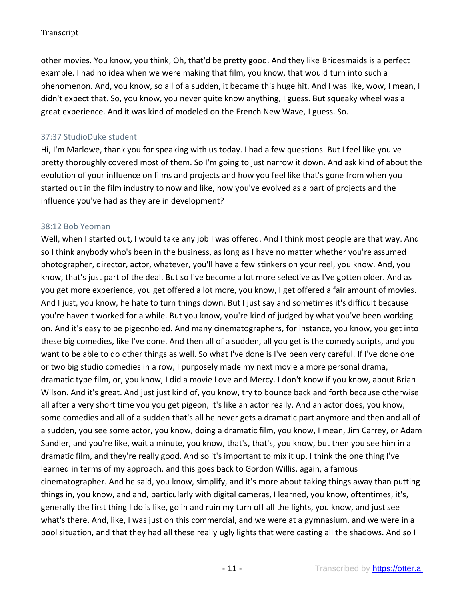other movies. You know, you think, Oh, that'd be pretty good. And they like Bridesmaids is a perfect example. I had no idea when we were making that film, you know, that would turn into such a phenomenon. And, you know, so all of a sudden, it became this huge hit. And I was like, wow, I mean, I didn't expect that. So, you know, you never quite know anything, I guess. But squeaky wheel was a great experience. And it was kind of modeled on the French New Wave, I guess. So.

# 37:37 StudioDuke student

Hi, I'm Marlowe, thank you for speaking with us today. I had a few questions. But I feel like you've pretty thoroughly covered most of them. So I'm going to just narrow it down. And ask kind of about the evolution of your influence on films and projects and how you feel like that's gone from when you started out in the film industry to now and like, how you've evolved as a part of projects and the influence you've had as they are in development?

## 38:12 Bob Yeoman

Well, when I started out, I would take any job I was offered. And I think most people are that way. And so I think anybody who's been in the business, as long as I have no matter whether you're assumed photographer, director, actor, whatever, you'll have a few stinkers on your reel, you know. And, you know, that's just part of the deal. But so I've become a lot more selective as I've gotten older. And as you get more experience, you get offered a lot more, you know, I get offered a fair amount of movies. And I just, you know, he hate to turn things down. But I just say and sometimes it's difficult because you're haven't worked for a while. But you know, you're kind of judged by what you've been working on. And it's easy to be pigeonholed. And many cinematographers, for instance, you know, you get into these big comedies, like I've done. And then all of a sudden, all you get is the comedy scripts, and you want to be able to do other things as well. So what I've done is I've been very careful. If I've done one or two big studio comedies in a row, I purposely made my next movie a more personal drama, dramatic type film, or, you know, I did a movie Love and Mercy. I don't know if you know, about Brian Wilson. And it's great. And just just kind of, you know, try to bounce back and forth because otherwise all after a very short time you you get pigeon, it's like an actor really. And an actor does, you know, some comedies and all of a sudden that's all he never gets a dramatic part anymore and then and all of a sudden, you see some actor, you know, doing a dramatic film, you know, I mean, Jim Carrey, or Adam Sandler, and you're like, wait a minute, you know, that's, that's, you know, but then you see him in a dramatic film, and they're really good. And so it's important to mix it up, I think the one thing I've learned in terms of my approach, and this goes back to Gordon Willis, again, a famous cinematographer. And he said, you know, simplify, and it's more about taking things away than putting things in, you know, and and, particularly with digital cameras, I learned, you know, oftentimes, it's, generally the first thing I do is like, go in and ruin my turn off all the lights, you know, and just see what's there. And, like, I was just on this commercial, and we were at a gymnasium, and we were in a pool situation, and that they had all these really ugly lights that were casting all the shadows. And so I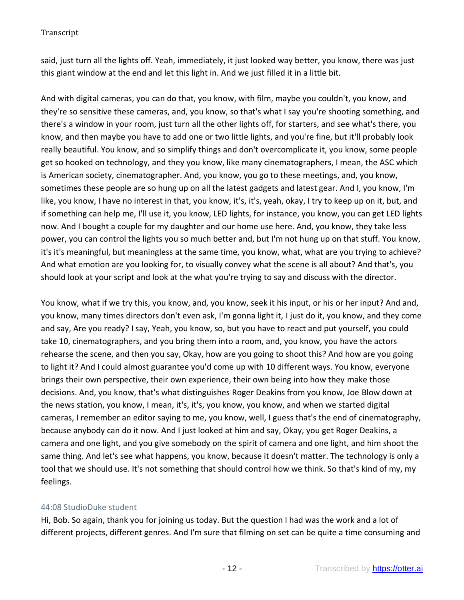said, just turn all the lights off. Yeah, immediately, it just looked way better, you know, there was just this giant window at the end and let this light in. And we just filled it in a little bit.

And with digital cameras, you can do that, you know, with film, maybe you couldn't, you know, and they're so sensitive these cameras, and, you know, so that's what I say you're shooting something, and there's a window in your room, just turn all the other lights off, for starters, and see what's there, you know, and then maybe you have to add one or two little lights, and you're fine, but it'll probably look really beautiful. You know, and so simplify things and don't overcomplicate it, you know, some people get so hooked on technology, and they you know, like many cinematographers, I mean, the ASC which is American society, cinematographer. And, you know, you go to these meetings, and, you know, sometimes these people are so hung up on all the latest gadgets and latest gear. And I, you know, I'm like, you know, I have no interest in that, you know, it's, it's, yeah, okay, I try to keep up on it, but, and if something can help me, I'll use it, you know, LED lights, for instance, you know, you can get LED lights now. And I bought a couple for my daughter and our home use here. And, you know, they take less power, you can control the lights you so much better and, but I'm not hung up on that stuff. You know, it's it's meaningful, but meaningless at the same time, you know, what, what are you trying to achieve? And what emotion are you looking for, to visually convey what the scene is all about? And that's, you should look at your script and look at the what you're trying to say and discuss with the director.

You know, what if we try this, you know, and, you know, seek it his input, or his or her input? And and, you know, many times directors don't even ask, I'm gonna light it, I just do it, you know, and they come and say, Are you ready? I say, Yeah, you know, so, but you have to react and put yourself, you could take 10, cinematographers, and you bring them into a room, and, you know, you have the actors rehearse the scene, and then you say, Okay, how are you going to shoot this? And how are you going to light it? And I could almost guarantee you'd come up with 10 different ways. You know, everyone brings their own perspective, their own experience, their own being into how they make those decisions. And, you know, that's what distinguishes Roger Deakins from you know, Joe Blow down at the news station, you know, I mean, it's, it's, you know, you know, and when we started digital cameras, I remember an editor saying to me, you know, well, I guess that's the end of cinematography, because anybody can do it now. And I just looked at him and say, Okay, you get Roger Deakins, a camera and one light, and you give somebody on the spirit of camera and one light, and him shoot the same thing. And let's see what happens, you know, because it doesn't matter. The technology is only a tool that we should use. It's not something that should control how we think. So that's kind of my, my feelings.

#### 44:08 StudioDuke student

Hi, Bob. So again, thank you for joining us today. But the question I had was the work and a lot of different projects, different genres. And I'm sure that filming on set can be quite a time consuming and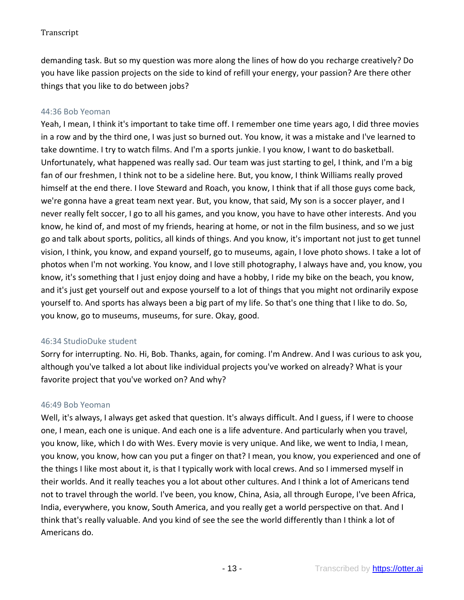demanding task. But so my question was more along the lines of how do you recharge creatively? Do you have like passion projects on the side to kind of refill your energy, your passion? Are there other things that you like to do between jobs?

### 44:36 Bob Yeoman

Yeah, I mean, I think it's important to take time off. I remember one time years ago, I did three movies in a row and by the third one, I was just so burned out. You know, it was a mistake and I've learned to take downtime. I try to watch films. And I'm a sports junkie. I you know, I want to do basketball. Unfortunately, what happened was really sad. Our team was just starting to gel, I think, and I'm a big fan of our freshmen, I think not to be a sideline here. But, you know, I think Williams really proved himself at the end there. I love Steward and Roach, you know, I think that if all those guys come back, we're gonna have a great team next year. But, you know, that said, My son is a soccer player, and I never really felt soccer, I go to all his games, and you know, you have to have other interests. And you know, he kind of, and most of my friends, hearing at home, or not in the film business, and so we just go and talk about sports, politics, all kinds of things. And you know, it's important not just to get tunnel vision, I think, you know, and expand yourself, go to museums, again, I love photo shows. I take a lot of photos when I'm not working. You know, and I love still photography, I always have and, you know, you know, it's something that I just enjoy doing and have a hobby, I ride my bike on the beach, you know, and it's just get yourself out and expose yourself to a lot of things that you might not ordinarily expose yourself to. And sports has always been a big part of my life. So that's one thing that I like to do. So, you know, go to museums, museums, for sure. Okay, good.

# 46:34 StudioDuke student

Sorry for interrupting. No. Hi, Bob. Thanks, again, for coming. I'm Andrew. And I was curious to ask you, although you've talked a lot about like individual projects you've worked on already? What is your favorite project that you've worked on? And why?

#### 46:49 Bob Yeoman

Well, it's always, I always get asked that question. It's always difficult. And I guess, if I were to choose one, I mean, each one is unique. And each one is a life adventure. And particularly when you travel, you know, like, which I do with Wes. Every movie is very unique. And like, we went to India, I mean, you know, you know, how can you put a finger on that? I mean, you know, you experienced and one of the things I like most about it, is that I typically work with local crews. And so I immersed myself in their worlds. And it really teaches you a lot about other cultures. And I think a lot of Americans tend not to travel through the world. I've been, you know, China, Asia, all through Europe, I've been Africa, India, everywhere, you know, South America, and you really get a world perspective on that. And I think that's really valuable. And you kind of see the see the world differently than I think a lot of Americans do.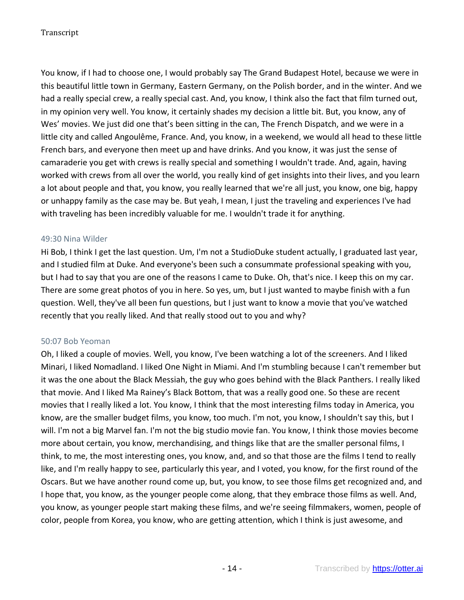You know, if I had to choose one, I would probably say The Grand Budapest Hotel, because we were in this beautiful little town in Germany, Eastern Germany, on the Polish border, and in the winter. And we had a really special crew, a really special cast. And, you know, I think also the fact that film turned out, in my opinion very well. You know, it certainly shades my decision a little bit. But, you know, any of Wes' movies. We just did one that's been sitting in the can, The French Dispatch, and we were in a little city and called Angoulême, France. And, you know, in a weekend, we would all head to these little French bars, and everyone then meet up and have drinks. And you know, it was just the sense of camaraderie you get with crews is really special and something I wouldn't trade. And, again, having worked with crews from all over the world, you really kind of get insights into their lives, and you learn a lot about people and that, you know, you really learned that we're all just, you know, one big, happy or unhappy family as the case may be. But yeah, I mean, I just the traveling and experiences I've had with traveling has been incredibly valuable for me. I wouldn't trade it for anything.

#### 49:30 Nina Wilder

Hi Bob, I think I get the last question. Um, I'm not a StudioDuke student actually, I graduated last year, and I studied film at Duke. And everyone's been such a consummate professional speaking with you, but I had to say that you are one of the reasons I came to Duke. Oh, that's nice. I keep this on my car. There are some great photos of you in here. So yes, um, but I just wanted to maybe finish with a fun question. Well, they've all been fun questions, but I just want to know a movie that you've watched recently that you really liked. And that really stood out to you and why?

#### 50:07 Bob Yeoman

Oh, I liked a couple of movies. Well, you know, I've been watching a lot of the screeners. And I liked Minari, I liked Nomadland. I liked One Night in Miami. And I'm stumbling because I can't remember but it was the one about the Black Messiah, the guy who goes behind with the Black Panthers. I really liked that movie. And I liked Ma Rainey's Black Bottom, that was a really good one. So these are recent movies that I really liked a lot. You know, I think that the most interesting films today in America, you know, are the smaller budget films, you know, too much. I'm not, you know, I shouldn't say this, but I will. I'm not a big Marvel fan. I'm not the big studio movie fan. You know, I think those movies become more about certain, you know, merchandising, and things like that are the smaller personal films, I think, to me, the most interesting ones, you know, and, and so that those are the films I tend to really like, and I'm really happy to see, particularly this year, and I voted, you know, for the first round of the Oscars. But we have another round come up, but, you know, to see those films get recognized and, and I hope that, you know, as the younger people come along, that they embrace those films as well. And, you know, as younger people start making these films, and we're seeing filmmakers, women, people of color, people from Korea, you know, who are getting attention, which I think is just awesome, and